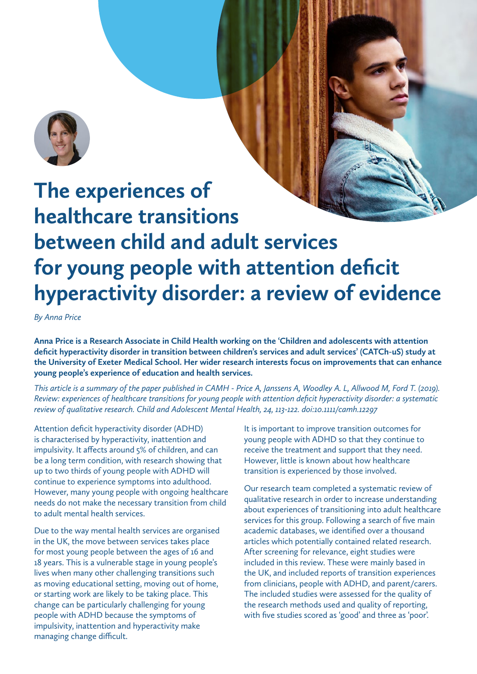

## **The experiences of healthcare transitions between child and adult services for young people with attention deficit hyperactivity disorder: a review of evidence**

*By Anna Price*

**Anna Price is a Research Associate in Child Health working on the 'Children and adolescents with attention deficit hyperactivity disorder in transition between children's services and adult services' (CATCh-uS) study at the University of Exeter Medical School. Her wider research interests focus on improvements that can enhance young people's experience of education and health services.**

*This article is a summary of the paper published in CAMH - Price A, Janssens A, Woodley A. L, Allwood M, Ford T. (2019). Review: experiences of healthcare transitions for young people with attention deficit hyperactivity disorder: a systematic review of qualitative research. Child and Adolescent Mental Health, 24, 113-122. doi:10.1111/camh.12297*

Attention deficit hyperactivity disorder (ADHD) is characterised by hyperactivity, inattention and impulsivity. It affects around 5% of children, and can be a long term condition, with research showing that up to two thirds of young people with ADHD will continue to experience symptoms into adulthood. However, many young people with ongoing healthcare needs do not make the necessary transition from child to adult mental health services.

Due to the way mental health services are organised in the UK, the move between services takes place for most young people between the ages of 16 and 18 years. This is a vulnerable stage in young people's lives when many other challenging transitions such as moving educational setting, moving out of home, or starting work are likely to be taking place. This change can be particularly challenging for young people with ADHD because the symptoms of impulsivity, inattention and hyperactivity make managing change difficult.

It is important to improve transition outcomes for young people with ADHD so that they continue to receive the treatment and support that they need. However, little is known about how healthcare transition is experienced by those involved.

Our research team completed a systematic review of qualitative research in order to increase understanding about experiences of transitioning into adult healthcare services for this group. Following a search of five main academic databases, we identified over a thousand articles which potentially contained related research. After screening for relevance, eight studies were included in this review. These were mainly based in the UK, and included reports of transition experiences from clinicians, people with ADHD, and parent/carers. The included studies were assessed for the quality of the research methods used and quality of reporting, with five studies scored as 'good' and three as 'poor'.